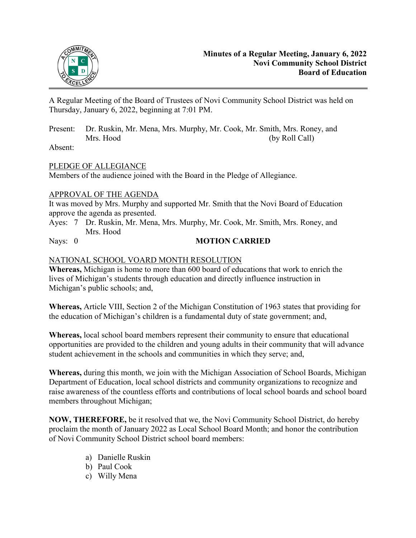

A Regular Meeting of the Board of Trustees of Novi Community School District was held on Thursday, January 6, 2022, beginning at 7:01 PM.

Present: Dr. Ruskin, Mr. Mena, Mrs. Murphy, Mr. Cook, Mr. Smith, Mrs. Roney, and Mrs. Hood (by Roll Call)

Absent:

## PLEDGE OF ALLEGIANCE

Members of the audience joined with the Board in the Pledge of Allegiance.

## APPROVAL OF THE AGENDA

It was moved by Mrs. Murphy and supported Mr. Smith that the Novi Board of Education approve the agenda as presented.

Ayes: 7 Dr. Ruskin, Mr. Mena, Mrs. Murphy, Mr. Cook, Mr. Smith, Mrs. Roney, and Mrs. Hood

## Nays: 0 **MOTION CARRIED**

## NATIONAL SCHOOL VOARD MONTH RESOLUTION

**Whereas,** Michigan is home to more than 600 board of educations that work to enrich the lives of Michigan's students through education and directly influence instruction in Michigan's public schools; and,

**Whereas,** Article VIII, Section 2 of the Michigan Constitution of 1963 states that providing for the education of Michigan's children is a fundamental duty of state government; and,

**Whereas,** local school board members represent their community to ensure that educational opportunities are provided to the children and young adults in their community that will advance student achievement in the schools and communities in which they serve; and,

**Whereas,** during this month, we join with the Michigan Association of School Boards, Michigan Department of Education, local school districts and community organizations to recognize and raise awareness of the countless efforts and contributions of local school boards and school board members throughout Michigan;

**NOW, THEREFORE,** be it resolved that we, the Novi Community School District, do hereby proclaim the month of January 2022 as Local School Board Month; and honor the contribution of Novi Community School District school board members:

- a) Danielle Ruskin
- b) Paul Cook
- c) Willy Mena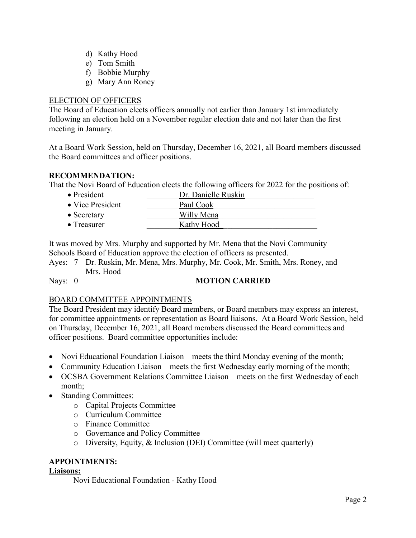- d) Kathy Hood
- e) Tom Smith
- f) Bobbie Murphy
- g) Mary Ann Roney

#### ELECTION OF OFFICERS

The Board of Education elects officers annually not earlier than January 1st immediately following an election held on a November regular election date and not later than the first meeting in January.

At a Board Work Session, held on Thursday, December 16, 2021, all Board members discussed the Board committees and officer positions.

## **RECOMMENDATION:**

That the Novi Board of Education elects the following officers for 2022 for the positions of:

| $\bullet$ President      | Dr. Danielle Ruskin |
|--------------------------|---------------------|
| $\bullet$ Vice President | Paul Cook           |
| $\bullet$ Secretary      | Willy Mena          |
| $\bullet$ Treasurer      | Kathy Hood          |

It was moved by Mrs. Murphy and supported by Mr. Mena that the Novi Community Schools Board of Education approve the election of officers as presented.

Ayes: 7 Dr. Ruskin, Mr. Mena, Mrs. Murphy, Mr. Cook, Mr. Smith, Mrs. Roney, and Mrs. Hood

## Nays: 0 **MOTION CARRIED**

## BOARD COMMITTEE APPOINTMENTS

The Board President may identify Board members, or Board members may express an interest, for committee appointments or representation as Board liaisons. At a Board Work Session, held on Thursday, December 16, 2021, all Board members discussed the Board committees and officer positions. Board committee opportunities include:

- Novi Educational Foundation Liaison meets the third Monday evening of the month;
- Community Education Liaison meets the first Wednesday early morning of the month;
- OCSBA Government Relations Committee Liaison meets on the first Wednesday of each month;
- Standing Committees:
	- o Capital Projects Committee
	- o Curriculum Committee
	- o Finance Committee
	- o Governance and Policy Committee
	- o Diversity, Equity, & Inclusion (DEI) Committee (will meet quarterly)

## **APPOINTMENTS:**

#### **Liaisons:**

Novi Educational Foundation - Kathy Hood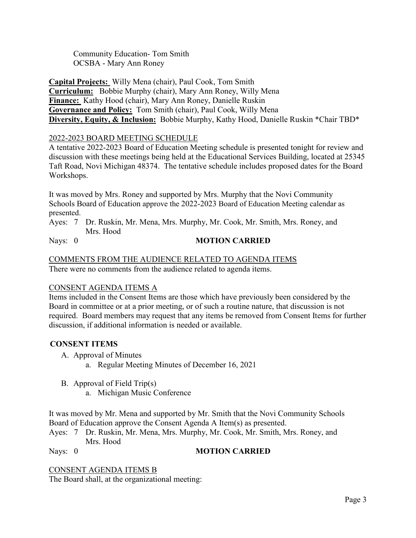Community Education- Tom Smith OCSBA - Mary Ann Roney

**Capital Projects:** Willy Mena (chair), Paul Cook, Tom Smith **Curriculum:** Bobbie Murphy (chair), Mary Ann Roney, Willy Mena **Finance:** Kathy Hood (chair), Mary Ann Roney, Danielle Ruskin **Governance and Policy:** Tom Smith (chair), Paul Cook, Willy Mena **Diversity, Equity, & Inclusion:** Bobbie Murphy, Kathy Hood, Danielle Ruskin \*Chair TBD\*

## 2022-2023 BOARD MEETING SCHEDULE

A tentative 2022-2023 Board of Education Meeting schedule is presented tonight for review and discussion with these meetings being held at the Educational Services Building, located at 25345 Taft Road, Novi Michigan 48374. The tentative schedule includes proposed dates for the Board Workshops.

It was moved by Mrs. Roney and supported by Mrs. Murphy that the Novi Community Schools Board of Education approve the 2022-2023 Board of Education Meeting calendar as presented.

Ayes: 7 Dr. Ruskin, Mr. Mena, Mrs. Murphy, Mr. Cook, Mr. Smith, Mrs. Roney, and Mrs. Hood

## Nays: 0 **MOTION CARRIED**

### COMMENTS FROM THE AUDIENCE RELATED TO AGENDA ITEMS There were no comments from the audience related to agenda items.

#### CONSENT AGENDA ITEMS A

Items included in the Consent Items are those which have previously been considered by the Board in committee or at a prior meeting, or of such a routine nature, that discussion is not required. Board members may request that any items be removed from Consent Items for further discussion, if additional information is needed or available.

## **CONSENT ITEMS**

- A. Approval of Minutes
	- a. Regular Meeting Minutes of December 16, 2021
- B. Approval of Field Trip(s)
	- a. Michigan Music Conference

It was moved by Mr. Mena and supported by Mr. Smith that the Novi Community Schools Board of Education approve the Consent Agenda A Item(s) as presented.

Ayes: 7 Dr. Ruskin, Mr. Mena, Mrs. Murphy, Mr. Cook, Mr. Smith, Mrs. Roney, and Mrs. Hood

#### Nays: 0 **MOTION CARRIED**

#### CONSENT AGENDA ITEMS B

The Board shall, at the organizational meeting: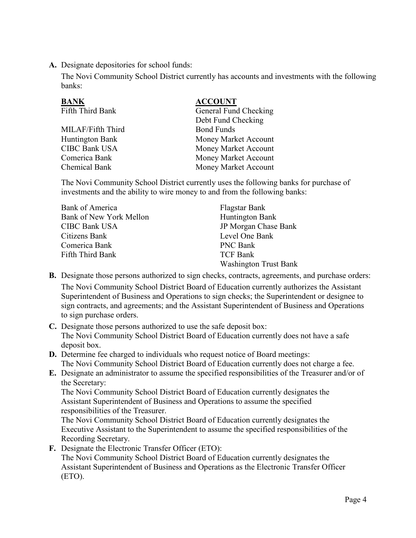**A.** Designate depositories for school funds:

The Novi Community School District currently has accounts and investments with the following banks:

| <b>BANK</b>          | <b>ACCOUNT</b>        |
|----------------------|-----------------------|
| Fifth Third Bank     | General Fund Checking |
|                      | Debt Fund Checking    |
| MILAF/Fifth Third    | <b>Bond Funds</b>     |
| Huntington Bank      | Money Market Account  |
| <b>CIBC Bank USA</b> | Money Market Account  |
| Comerica Bank        | Money Market Account  |
| Chemical Bank        | Money Market Account  |
|                      |                       |

The Novi Community School District currently uses the following banks for purchase of investments and the ability to wire money to and from the following banks:

| Bank of America         | Flagstar Bank                |
|-------------------------|------------------------------|
| Bank of New York Mellon | Huntington Bank              |
| <b>CIBC Bank USA</b>    | JP Morgan Chase Bank         |
| Citizens Bank           | Level One Bank               |
| Comerica Bank           | <b>PNC Bank</b>              |
| Fifth Third Bank        | <b>TCF Bank</b>              |
|                         | <b>Washington Trust Bank</b> |

- **B.** Designate those persons authorized to sign checks, contracts, agreements, and purchase orders: The Novi Community School District Board of Education currently authorizes the Assistant Superintendent of Business and Operations to sign checks; the Superintendent or designee to sign contracts, and agreements; and the Assistant Superintendent of Business and Operations to sign purchase orders.
- **C.** Designate those persons authorized to use the safe deposit box: The Novi Community School District Board of Education currently does not have a safe deposit box.
- **D.** Determine fee charged to individuals who request notice of Board meetings: The Novi Community School District Board of Education currently does not charge a fee.
- **E.** Designate an administrator to assume the specified responsibilities of the Treasurer and/or of the Secretary:

 The Novi Community School District Board of Education currently designates the Assistant Superintendent of Business and Operations to assume the specified responsibilities of the Treasurer.

 The Novi Community School District Board of Education currently designates the Executive Assistant to the Superintendent to assume the specified responsibilities of the Recording Secretary.

**F.** Designate the Electronic Transfer Officer (ETO):

 The Novi Community School District Board of Education currently designates the Assistant Superintendent of Business and Operations as the Electronic Transfer Officer (ETO).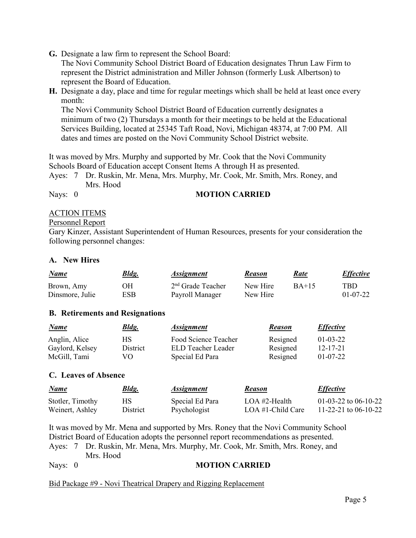**G.** Designate a law firm to represent the School Board:

 The Novi Community School District Board of Education designates Thrun Law Firm to represent the District administration and Miller Johnson (formerly Lusk Albertson) to represent the Board of Education.

**H.** Designate a day, place and time for regular meetings which shall be held at least once every month:

 The Novi Community School District Board of Education currently designates a minimum of two (2) Thursdays a month for their meetings to be held at the Educational Services Building, located at 25345 Taft Road, Novi, Michigan 48374, at 7:00 PM. All dates and times are posted on the Novi Community School District website.

It was moved by Mrs. Murphy and supported by Mr. Cook that the Novi Community Schools Board of Education accept Consent Items A through H as presented.

Ayes: 7 Dr. Ruskin, Mr. Mena, Mrs. Murphy, Mr. Cook, Mr. Smith, Mrs. Roney, and Mrs. Hood

## Nays: 0 **MOTION CARRIED**

## ACTION ITEMS

#### Personnel Report

Gary Kinzer, Assistant Superintendent of Human Resources, presents for your consideration the following personnel changes:

## **A. New Hires**

| <u>Name</u>     | <u>Bldg.</u> | <i><b>Assignment</b></i> | <b>Reason</b> | Rate    | <b>Effective</b> |
|-----------------|--------------|--------------------------|---------------|---------|------------------|
| Brown, Amy      | ЭH           | $2nd$ Grade Teacher      | New Hire      | $BA+15$ | TBD              |
| Dinsmore, Julie | ESB          | Payroll Manager          | New Hire      |         | $01-07-22$       |

#### **B. Retirements and Resignations**

| <u>Name</u>     | <u>Bldg.</u> | <b>Assignment</b>    | <b>Reason</b> | <i><b>Effective</b></i> |
|-----------------|--------------|----------------------|---------------|-------------------------|
| Anglin, Alice   | НS           | Food Science Teacher | Resigned      | $01 - 03 - 22$          |
| Gaylord, Kelsey | District     | ELD Teacher Leader   | Resigned      | $12 - 17 - 21$          |
| McGill, Tami    | VO.          | Special Ed Para      | Resigned      | $01-07-22$              |

#### **C. Leaves of Absence**

| <u>Name</u>      | <b>Bldg.</b> | <b>Assignment</b> | <b>Reason</b>     | <i><b>Effective</b></i> |
|------------------|--------------|-------------------|-------------------|-------------------------|
| Stotler, Timothy | HS.          | Special Ed Para   | LOA #2-Health     | 01-03-22 to 06-10-22    |
| Weinert, Ashley  | District     | Psychologist      | LOA #1-Child Care | 11-22-21 to 06-10-22    |

It was moved by Mr. Mena and supported by Mrs. Roney that the Novi Community School District Board of Education adopts the personnel report recommendations as presented. Ayes: 7 Dr. Ruskin, Mr. Mena, Mrs. Murphy, Mr. Cook, Mr. Smith, Mrs. Roney, and Mrs. Hood

## Nays: 0 **MOTION CARRIED**

Bid Package #9 - Novi Theatrical Drapery and Rigging Replacement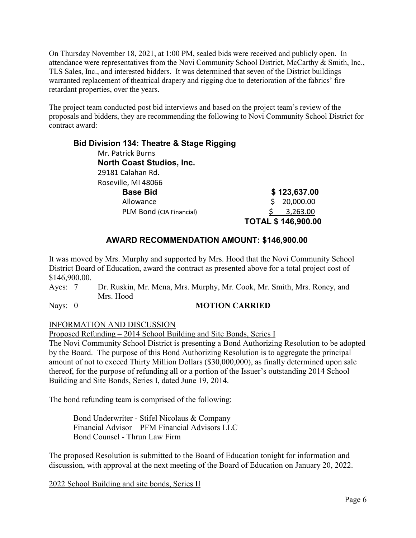On Thursday November 18, 2021, at 1:00 PM, sealed bids were received and publicly open. In attendance were representatives from the Novi Community School District, McCarthy & Smith, Inc., TLS Sales, Inc., and interested bidders. It was determined that seven of the District buildings warranted replacement of theatrical drapery and rigging due to deterioration of the fabrics' fire retardant properties, over the years.

The project team conducted post bid interviews and based on the project team's review of the proposals and bidders, they are recommending the following to Novi Community School District for contract award:

| <b>Bid Division 134: Theatre &amp; Stage Rigging</b> |    |                           |
|------------------------------------------------------|----|---------------------------|
| Mr. Patrick Burns                                    |    |                           |
| <b>North Coast Studios, Inc.</b>                     |    |                           |
| 29181 Calahan Rd.                                    |    |                           |
| Roseville, MI 48066                                  |    |                           |
| <b>Base Bid</b>                                      |    | \$123,637.00              |
| Allowance                                            | Ŝ. | 20,000.00                 |
| PLM Bond (CIA Financial)                             |    | 3,263.00                  |
|                                                      |    | <b>TOTAL \$146,900.00</b> |

# **AWARD RECOMMENDATION AMOUNT: \$146,900.00**

It was moved by Mrs. Murphy and supported by Mrs. Hood that the Novi Community School District Board of Education, award the contract as presented above for a total project cost of \$146,900.00.

Ayes: 7 Dr. Ruskin, Mr. Mena, Mrs. Murphy, Mr. Cook, Mr. Smith, Mrs. Roney, and Mrs. Hood

## Nays: 0 **MOTION CARRIED**

#### INFORMATION AND DISCUSSION

Proposed Refunding – 2014 School Building and Site Bonds, Series I

The Novi Community School District is presenting a Bond Authorizing Resolution to be adopted by the Board. The purpose of this Bond Authorizing Resolution is to aggregate the principal amount of not to exceed Thirty Million Dollars (\$30,000,000), as finally determined upon sale thereof, for the purpose of refunding all or a portion of the Issuer's outstanding 2014 School Building and Site Bonds, Series I, dated June 19, 2014.

The bond refunding team is comprised of the following:

Bond Underwriter - Stifel Nicolaus & Company Financial Advisor – PFM Financial Advisors LLC Bond Counsel - Thrun Law Firm

The proposed Resolution is submitted to the Board of Education tonight for information and discussion, with approval at the next meeting of the Board of Education on January 20, 2022.

2022 School Building and site bonds, Series II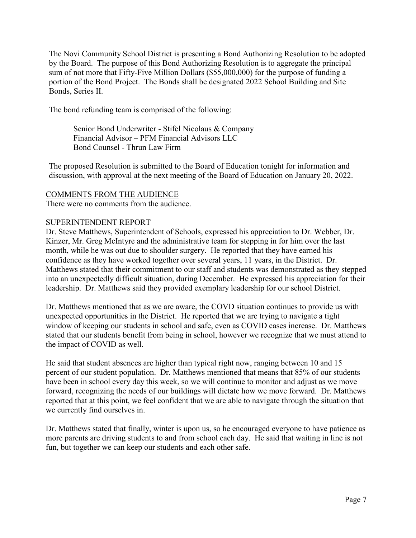The Novi Community School District is presenting a Bond Authorizing Resolution to be adopted by the Board. The purpose of this Bond Authorizing Resolution is to aggregate the principal sum of not more that Fifty-Five Million Dollars (\$55,000,000) for the purpose of funding a portion of the Bond Project. The Bonds shall be designated 2022 School Building and Site Bonds, Series II.

The bond refunding team is comprised of the following:

Senior Bond Underwriter - Stifel Nicolaus & Company Financial Advisor – PFM Financial Advisors LLC Bond Counsel - Thrun Law Firm

The proposed Resolution is submitted to the Board of Education tonight for information and discussion, with approval at the next meeting of the Board of Education on January 20, 2022.

#### COMMENTS FROM THE AUDIENCE

There were no comments from the audience.

#### SUPERINTENDENT REPORT

Dr. Steve Matthews, Superintendent of Schools, expressed his appreciation to Dr. Webber, Dr. Kinzer, Mr. Greg McIntyre and the administrative team for stepping in for him over the last month, while he was out due to shoulder surgery. He reported that they have earned his confidence as they have worked together over several years, 11 years, in the District. Dr. Matthews stated that their commitment to our staff and students was demonstrated as they stepped into an unexpectedly difficult situation, during December. He expressed his appreciation for their leadership. Dr. Matthews said they provided exemplary leadership for our school District.

Dr. Matthews mentioned that as we are aware, the COVD situation continues to provide us with unexpected opportunities in the District. He reported that we are trying to navigate a tight window of keeping our students in school and safe, even as COVID cases increase. Dr. Matthews stated that our students benefit from being in school, however we recognize that we must attend to the impact of COVID as well.

He said that student absences are higher than typical right now, ranging between 10 and 15 percent of our student population. Dr. Matthews mentioned that means that 85% of our students have been in school every day this week, so we will continue to monitor and adjust as we move forward, recognizing the needs of our buildings will dictate how we move forward. Dr. Matthews reported that at this point, we feel confident that we are able to navigate through the situation that we currently find ourselves in.

Dr. Matthews stated that finally, winter is upon us, so he encouraged everyone to have patience as more parents are driving students to and from school each day. He said that waiting in line is not fun, but together we can keep our students and each other safe.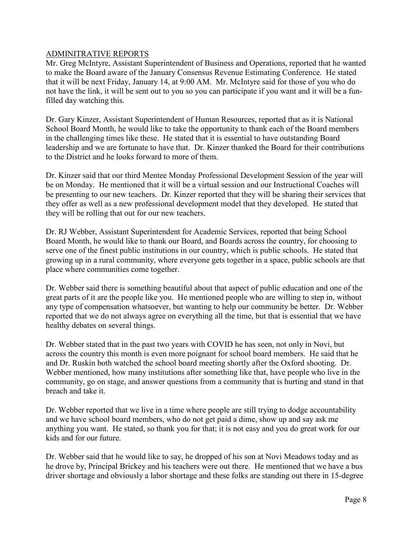## ADMINITRATIVE REPORTS

Mr. Greg McIntyre, Assistant Superintendent of Business and Operations, reported that he wanted to make the Board aware of the January Consensus Revenue Estimating Conference. He stated that it will be next Friday, January 14, at 9:00 AM. Mr. McIntyre said for those of you who do not have the link, it will be sent out to you so you can participate if you want and it will be a funfilled day watching this.

Dr. Gary Kinzer, Assistant Superintendent of Human Resources, reported that as it is National School Board Month, he would like to take the opportunity to thank each of the Board members in the challenging times like these. He stated that it is essential to have outstanding Board leadership and we are fortunate to have that. Dr. Kinzer thanked the Board for their contributions to the District and he looks forward to more of them.

Dr. Kinzer said that our third Mentee Monday Professional Development Session of the year will be on Monday. He mentioned that it will be a virtual session and our Instructional Coaches will be presenting to our new teachers. Dr. Kinzer reported that they will be sharing their services that they offer as well as a new professional development model that they developed. He stated that they will be rolling that out for our new teachers.

Dr. RJ Webber, Assistant Superintendent for Academic Services, reported that being School Board Month, he would like to thank our Board, and Boards across the country, for choosing to serve one of the finest public institutions in our country, which is public schools. He stated that growing up in a rural community, where everyone gets together in a space, public schools are that place where communities come together.

Dr. Webber said there is something beautiful about that aspect of public education and one of the great parts of it are the people like you. He mentioned people who are willing to step in, without any type of compensation whatsoever, but wanting to help our community be better. Dr. Webber reported that we do not always agree on everything all the time, but that is essential that we have healthy debates on several things.

Dr. Webber stated that in the past two years with COVID he has seen, not only in Novi, but across the country this month is even more poignant for school board members. He said that he and Dr. Ruskin both watched the school board meeting shortly after the Oxford shooting. Dr. Webber mentioned, how many institutions after something like that, have people who live in the community, go on stage, and answer questions from a community that is hurting and stand in that breach and take it.

Dr. Webber reported that we live in a time where people are still trying to dodge accountability and we have school board members, who do not get paid a dime, show up and say ask me anything you want. He stated, so thank you for that; it is not easy and you do great work for our kids and for our future.

Dr. Webber said that he would like to say, he dropped of his son at Novi Meadows today and as he drove by, Principal Brickey and his teachers were out there. He mentioned that we have a bus driver shortage and obviously a labor shortage and these folks are standing out there in 15-degree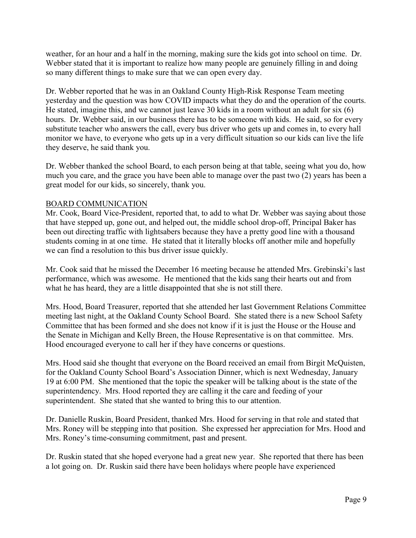weather, for an hour and a half in the morning, making sure the kids got into school on time. Dr. Webber stated that it is important to realize how many people are genuinely filling in and doing so many different things to make sure that we can open every day.

Dr. Webber reported that he was in an Oakland County High-Risk Response Team meeting yesterday and the question was how COVID impacts what they do and the operation of the courts. He stated, imagine this, and we cannot just leave 30 kids in a room without an adult for six (6) hours. Dr. Webber said, in our business there has to be someone with kids. He said, so for every substitute teacher who answers the call, every bus driver who gets up and comes in, to every hall monitor we have, to everyone who gets up in a very difficult situation so our kids can live the life they deserve, he said thank you.

Dr. Webber thanked the school Board, to each person being at that table, seeing what you do, how much you care, and the grace you have been able to manage over the past two (2) years has been a great model for our kids, so sincerely, thank you.

## BOARD COMMUNICATION

Mr. Cook, Board Vice-President, reported that, to add to what Dr. Webber was saying about those that have stepped up, gone out, and helped out, the middle school drop-off, Principal Baker has been out directing traffic with lightsabers because they have a pretty good line with a thousand students coming in at one time. He stated that it literally blocks off another mile and hopefully we can find a resolution to this bus driver issue quickly.

Mr. Cook said that he missed the December 16 meeting because he attended Mrs. Grebinski's last performance, which was awesome. He mentioned that the kids sang their hearts out and from what he has heard, they are a little disappointed that she is not still there.

Mrs. Hood, Board Treasurer, reported that she attended her last Government Relations Committee meeting last night, at the Oakland County School Board. She stated there is a new School Safety Committee that has been formed and she does not know if it is just the House or the House and the Senate in Michigan and Kelly Breen, the House Representative is on that committee. Mrs. Hood encouraged everyone to call her if they have concerns or questions.

Mrs. Hood said she thought that everyone on the Board received an email from Birgit McQuisten, for the Oakland County School Board's Association Dinner, which is next Wednesday, January 19 at 6:00 PM. She mentioned that the topic the speaker will be talking about is the state of the superintendency. Mrs. Hood reported they are calling it the care and feeding of your superintendent. She stated that she wanted to bring this to our attention.

Dr. Danielle Ruskin, Board President, thanked Mrs. Hood for serving in that role and stated that Mrs. Roney will be stepping into that position. She expressed her appreciation for Mrs. Hood and Mrs. Roney's time-consuming commitment, past and present.

Dr. Ruskin stated that she hoped everyone had a great new year. She reported that there has been a lot going on. Dr. Ruskin said there have been holidays where people have experienced